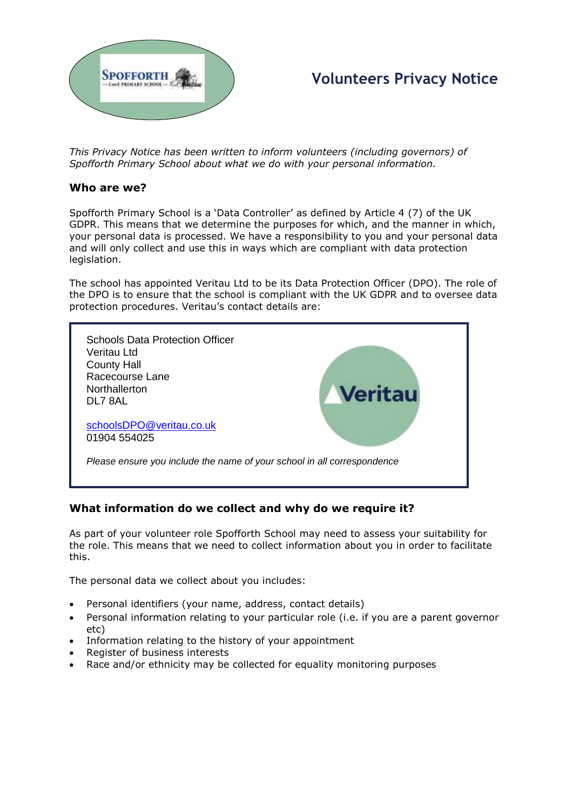

# **Volunteers Privacy Notice**

*This Privacy Notice has been written to inform volunteers (including governors) of Spofforth Primary School about what we do with your personal information.* 

#### **Who are we?**

Spofforth Primary School is a 'Data Controller' as defined by Article 4 (7) of the UK GDPR. This means that we determine the purposes for which, and the manner in which, your personal data is processed. We have a responsibility to you and your personal data and will only collect and use this in ways which are compliant with data protection legislation.

The school has appointed Veritau Ltd to be its Data Protection Officer (DPO). The role of the DPO is to ensure that the school is compliant with the UK GDPR and to oversee data protection procedures. Veritau's contact details are:



# **What information do we collect and why do we require it?**

As part of your volunteer role Spofforth School may need to assess your suitability for the role. This means that we need to collect information about you in order to facilitate this.

The personal data we collect about you includes:

- Personal identifiers (your name, address, contact details)
- Personal information relating to your particular role (i.e. if you are a parent governor etc)
- Information relating to the history of your appointment
- Register of business interests
- Race and/or ethnicity may be collected for equality monitoring purposes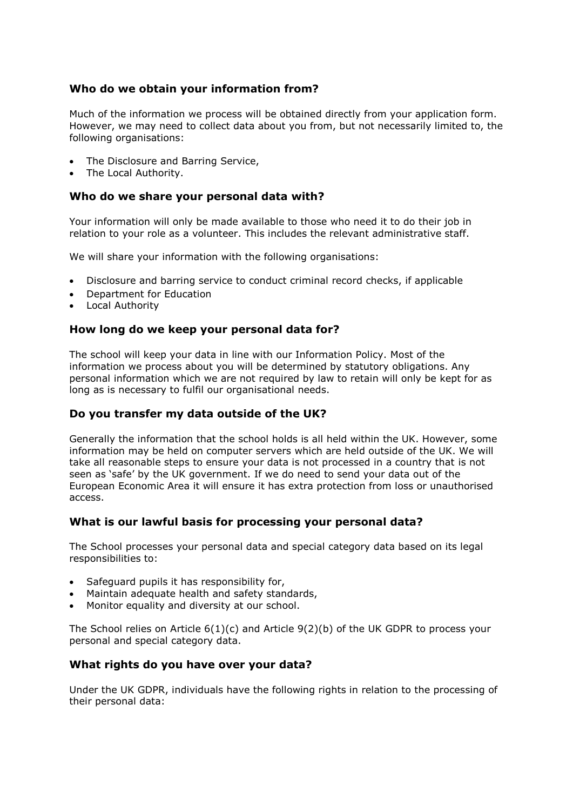# **Who do we obtain your information from?**

Much of the information we process will be obtained directly from your application form. However, we may need to collect data about you from, but not necessarily limited to, the following organisations:

- The Disclosure and Barring Service,
- The Local Authority.

#### **Who do we share your personal data with?**

Your information will only be made available to those who need it to do their job in relation to your role as a volunteer. This includes the relevant administrative staff.

We will share your information with the following organisations:

- Disclosure and barring service to conduct criminal record checks, if applicable
- Department for Education
- Local Authority

# **How long do we keep your personal data for?**

The school will keep your data in line with our Information Policy. Most of the information we process about you will be determined by statutory obligations. Any personal information which we are not required by law to retain will only be kept for as long as is necessary to fulfil our organisational needs.

# **Do you transfer my data outside of the UK?**

Generally the information that the school holds is all held within the UK. However, some information may be held on computer servers which are held outside of the UK. We will take all reasonable steps to ensure your data is not processed in a country that is not seen as 'safe' by the UK government. If we do need to send your data out of the European Economic Area it will ensure it has extra protection from loss or unauthorised access.

# **What is our lawful basis for processing your personal data?**

The School processes your personal data and special category data based on its legal responsibilities to:

- Safeguard pupils it has responsibility for,
- Maintain adequate health and safety standards,
- Monitor equality and diversity at our school.

The School relies on Article  $6(1)(c)$  and Article  $9(2)(b)$  of the UK GDPR to process your personal and special category data.

# **What rights do you have over your data?**

Under the UK GDPR, individuals have the following rights in relation to the processing of their personal data: